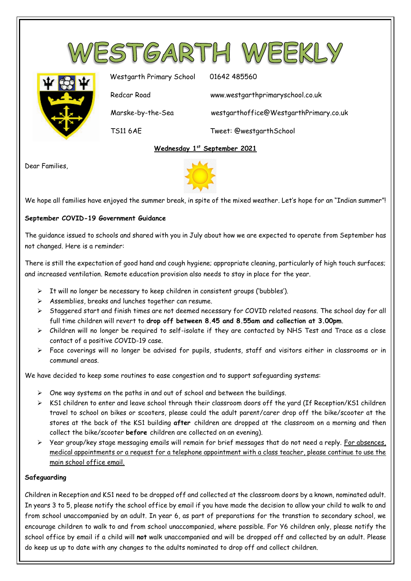



Westgarth Primary School 01642 485560 Redcar Road www.westgarthprimaryschool.co.uk Marske-by-the-Sea westgarthoffice@WestgarthPrimary.co.uk TS11 6AE Tweet: @westgarthSchool

# **Wednesday 1 st September 2021**

Dear Families,



We hope all families have enjoyed the summer break, in spite of the mixed weather. Let's hope for an "Indian summer"!

# **September COVID-19 Government Guidance**

The guidance issued to schools and shared with you in July about how we are expected to operate from September has not changed. Here is a reminder:

There is still the expectation of good hand and cough hygiene; appropriate cleaning, particularly of high touch surfaces; and increased ventilation. Remote education provision also needs to stay in place for the year.

- $\triangleright$  It will no longer be necessary to keep children in consistent groups ('bubbles').
- Assemblies, breaks and lunches together can resume.
- $\triangleright$  Staggered start and finish times are not deemed necessary for COVID related reasons. The school day for all full time children will revert to **drop off between 8.45 and 8.55am and collection at 3.00pm**.
- Children will no longer be required to self-isolate if they are contacted by NHS Test and Trace as a close contact of a positive COVID-19 case.
- Face coverings will no longer be advised for pupils, students, staff and visitors either in classrooms or in communal areas.

We have decided to keep some routines to ease congestion and to support safeguarding systems:

- $\triangleright$  One way systems on the paths in and out of school and between the buildings.
- $\triangleright$  KS1 children to enter and leave school through their classroom doors off the yard (If Reception/KS1 children travel to school on bikes or scooters, please could the adult parent/carer drop off the bike/scooter at the stores at the back of the KS1 building **after** children are dropped at the classroom on a morning and then collect the bike/scooter **before** children are collected on an evening).
- $\triangleright$  Year group/key stage messaging emails will remain for brief messages that do not need a reply. For absences, medical appointments or a request for a telephone appointment with a class teacher, please continue to use the main school office email.

## **Safeguarding**

Children in Reception and KS1 need to be dropped off and collected at the classroom doors by a known, nominated adult. In years 3 to 5, please notify the school office by email if you have made the decision to allow your child to walk to and from school unaccompanied by an adult. In year 6, as part of preparations for the transtion to secondary school, we encourage children to walk to and from school unaccompanied, where possible. For Y6 children only, please notify the school office by email if a child will **not** walk unaccompanied and will be dropped off and collected by an adult. Please do keep us up to date with any changes to the adults nominated to drop off and collect children.